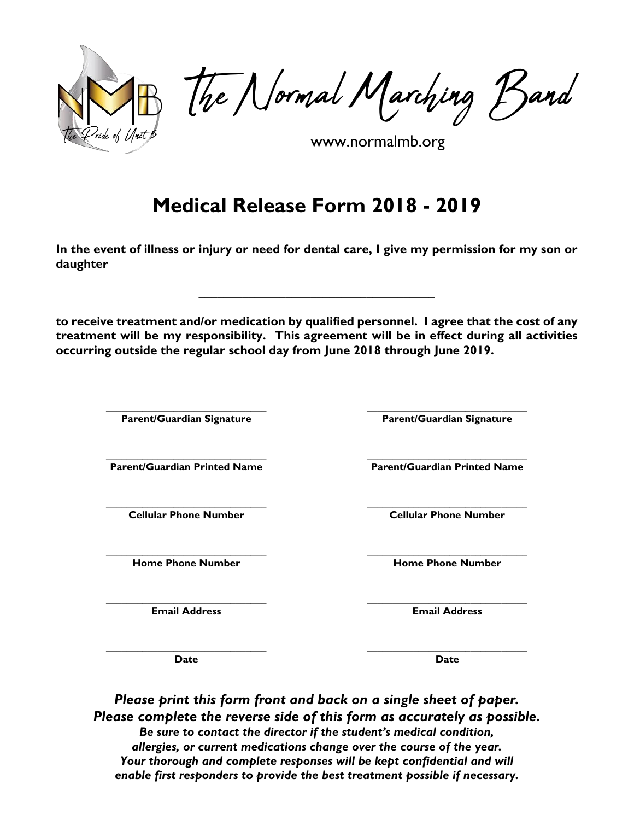

The Normal Marching Band

www.normalmb.org

## **Medical Release Form 2018 - 2019**

**In the event of illness or injury or need for dental care, I give my permission for my son or daughter**

**\_\_\_\_\_\_\_\_\_\_\_\_\_\_\_\_\_\_\_\_\_\_\_\_\_\_\_\_\_\_\_\_\_\_\_\_\_\_**

**to receive treatment and/or medication by qualified personnel. I agree that the cost of any treatment will be my responsibility. This agreement will be in effect during all activities occurring outside the regular school day from June 2018 through June 2019.**

**Parent/Guardian Signature Parent/Guardian Signature**

**\_\_\_\_\_\_\_\_\_\_\_\_\_\_\_\_\_\_\_\_\_\_\_\_\_\_\_\_\_\_\_ \_\_\_\_\_\_\_\_\_\_\_\_\_\_\_\_\_\_\_\_\_\_\_\_\_\_\_\_\_\_\_**

**\_\_\_\_\_\_\_\_\_\_\_\_\_\_\_\_\_\_\_\_\_\_\_\_\_\_\_\_\_\_\_ \_\_\_\_\_\_\_\_\_\_\_\_\_\_\_\_\_\_\_\_\_\_\_\_\_\_\_\_\_\_\_**

**\_\_\_\_\_\_\_\_\_\_\_\_\_\_\_\_\_\_\_\_\_\_\_\_\_\_\_\_\_\_\_ \_\_\_\_\_\_\_\_\_\_\_\_\_\_\_\_\_\_\_\_\_\_\_\_\_\_\_\_\_\_\_ Parent/Guardian Printed Name Parent/Guardian Printed Name**

**\_\_\_\_\_\_\_\_\_\_\_\_\_\_\_\_\_\_\_\_\_\_\_\_\_\_\_\_\_\_\_ \_\_\_\_\_\_\_\_\_\_\_\_\_\_\_\_\_\_\_\_\_\_\_\_\_\_\_\_\_\_\_ Cellular Phone Number Cellular Phone Number**

**\_\_\_\_\_\_\_\_\_\_\_\_\_\_\_\_\_\_\_\_\_\_\_\_\_\_\_\_\_\_\_ \_\_\_\_\_\_\_\_\_\_\_\_\_\_\_\_\_\_\_\_\_\_\_\_\_\_\_\_\_\_\_ Home Phone Number Home Phone Number**

**Email Address Email Address**

**\_\_\_\_\_\_\_\_\_\_\_\_\_\_\_\_\_\_\_\_\_\_\_\_\_\_\_\_\_\_\_ \_\_\_\_\_\_\_\_\_\_\_\_\_\_\_\_\_\_\_\_\_\_\_\_\_\_\_\_\_\_\_ Date Date**

*Please print this form front and back on a single sheet of paper. Please complete the reverse side of this form as accurately as possible. Be sure to contact the director if the student's medical condition, allergies, or current medications change over the course of the year. Your thorough and complete responses will be kept confidential and will enable first responders to provide the best treatment possible if necessary.*